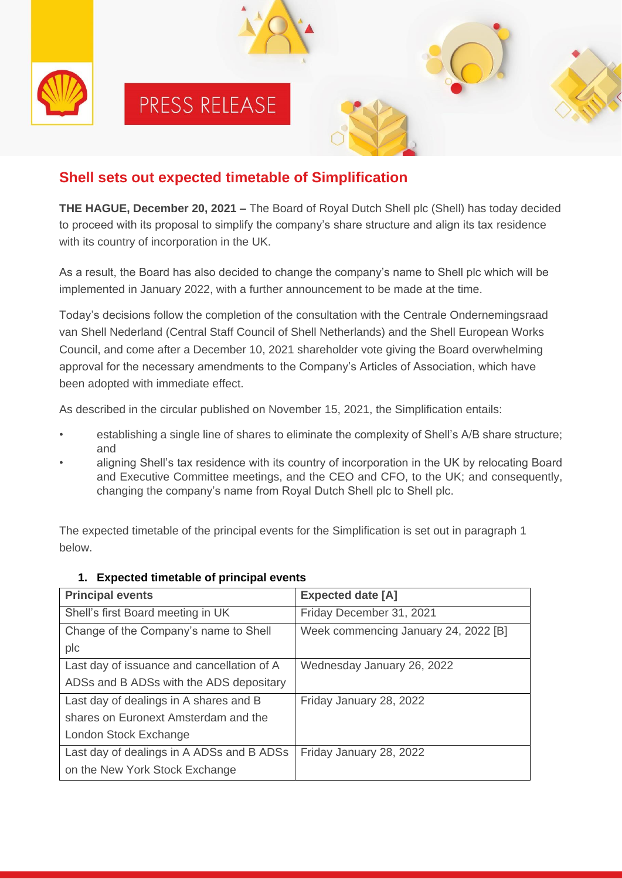

# **Shell sets out expected timetable of Simplification**

**THE HAGUE, December 20, 2021 –** The Board of Royal Dutch Shell plc (Shell) has today decided to proceed with its proposal to simplify the company's share structure and align its tax residence with its country of incorporation in the UK.

As a result, the Board has also decided to change the company's name to Shell plc which will be implemented in January 2022, with a further announcement to be made at the time.

Today's decisions follow the completion of the consultation with the Centrale Ondernemingsraad van Shell Nederland (Central Staff Council of Shell Netherlands) and the Shell European Works Council, and come after a December 10, 2021 shareholder vote giving the Board overwhelming approval for the necessary amendments to the Company's Articles of Association, which have been adopted with immediate effect.

As described in the circular published on November 15, 2021, the Simplification entails:

- establishing a single line of shares to eliminate the complexity of Shell's A/B share structure; and
- aligning Shell's tax residence with its country of incorporation in the UK by relocating Board and Executive Committee meetings, and the CEO and CFO, to the UK; and consequently, changing the company's name from Royal Dutch Shell plc to Shell plc.

The expected timetable of the principal events for the Simplification is set out in paragraph 1 below.

| <b>Principal events</b>                    | <b>Expected date [A]</b>             |
|--------------------------------------------|--------------------------------------|
| Shell's first Board meeting in UK          | Friday December 31, 2021             |
| Change of the Company's name to Shell      | Week commencing January 24, 2022 [B] |
| plc                                        |                                      |
| Last day of issuance and cancellation of A | Wednesday January 26, 2022           |
| ADSs and B ADSs with the ADS depositary    |                                      |
| Last day of dealings in A shares and B     | Friday January 28, 2022              |
| shares on Euronext Amsterdam and the       |                                      |
| London Stock Exchange                      |                                      |
| Last day of dealings in A ADSs and B ADSs  | Friday January 28, 2022              |
| on the New York Stock Exchange             |                                      |

#### **1. Expected timetable of principal events**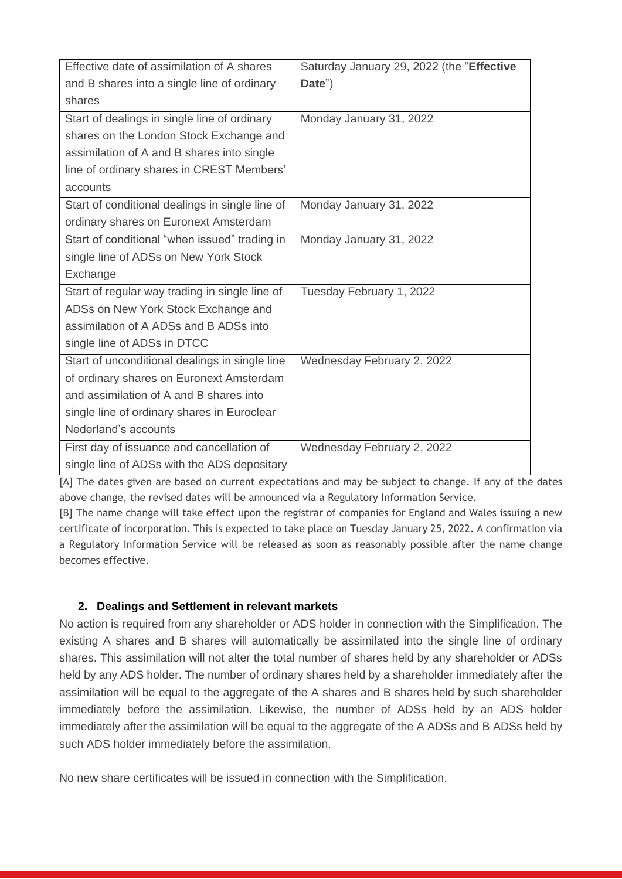| Effective date of assimilation of A shares      | Saturday January 29, 2022 (the "Effective |
|-------------------------------------------------|-------------------------------------------|
| and B shares into a single line of ordinary     | Date")                                    |
| shares                                          |                                           |
| Start of dealings in single line of ordinary    | Monday January 31, 2022                   |
| shares on the London Stock Exchange and         |                                           |
| assimilation of A and B shares into single      |                                           |
| line of ordinary shares in CREST Members'       |                                           |
| accounts                                        |                                           |
| Start of conditional dealings in single line of | Monday January 31, 2022                   |
| ordinary shares on Euronext Amsterdam           |                                           |
| Start of conditional "when issued" trading in   | Monday January 31, 2022                   |
| single line of ADSs on New York Stock           |                                           |
| Exchange                                        |                                           |
| Start of regular way trading in single line of  | Tuesday February 1, 2022                  |
| ADSs on New York Stock Exchange and             |                                           |
| assimilation of A ADSs and B ADSs into          |                                           |
| single line of ADSs in DTCC                     |                                           |
| Start of unconditional dealings in single line  | Wednesday February 2, 2022                |
| of ordinary shares on Euronext Amsterdam        |                                           |
| and assimilation of A and B shares into         |                                           |
| single line of ordinary shares in Euroclear     |                                           |
| Nederland's accounts                            |                                           |
| First day of issuance and cancellation of       | Wednesday February 2, 2022                |
| single line of ADSs with the ADS depositary     |                                           |

[A] The dates given are based on current expectations and may be subject to change. If any of the dates above change, the revised dates will be announced via a Regulatory Information Service.

[B] The name change will take effect upon the registrar of companies for England and Wales issuing a new certificate of incorporation. This is expected to take place on Tuesday January 25, 2022. A confirmation via a Regulatory Information Service will be released as soon as reasonably possible after the name change becomes effective.

#### **2. Dealings and Settlement in relevant markets**

No action is required from any shareholder or ADS holder in connection with the Simplification. The existing A shares and B shares will automatically be assimilated into the single line of ordinary shares. This assimilation will not alter the total number of shares held by any shareholder or ADSs held by any ADS holder. The number of ordinary shares held by a shareholder immediately after the assimilation will be equal to the aggregate of the A shares and B shares held by such shareholder immediately before the assimilation. Likewise, the number of ADSs held by an ADS holder immediately after the assimilation will be equal to the aggregate of the A ADSs and B ADSs held by such ADS holder immediately before the assimilation.

No new share certificates will be issued in connection with the Simplification.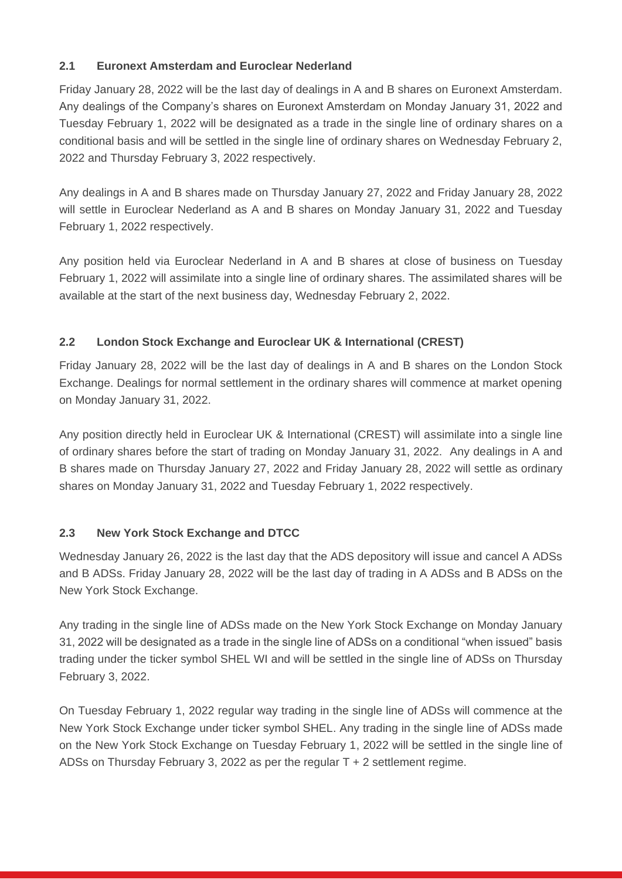#### **2.1 Euronext Amsterdam and Euroclear Nederland**

Friday January 28, 2022 will be the last day of dealings in A and B shares on Euronext Amsterdam. Any dealings of the Company's shares on Euronext Amsterdam on Monday January 31, 2022 and Tuesday February 1, 2022 will be designated as a trade in the single line of ordinary shares on a conditional basis and will be settled in the single line of ordinary shares on Wednesday February 2, 2022 and Thursday February 3, 2022 respectively.

Any dealings in A and B shares made on Thursday January 27, 2022 and Friday January 28, 2022 will settle in Euroclear Nederland as A and B shares on Monday January 31, 2022 and Tuesday February 1, 2022 respectively.

Any position held via Euroclear Nederland in A and B shares at close of business on Tuesday February 1, 2022 will assimilate into a single line of ordinary shares. The assimilated shares will be available at the start of the next business day, Wednesday February 2, 2022.

## **2.2 London Stock Exchange and Euroclear UK & International (CREST)**

Friday January 28, 2022 will be the last day of dealings in A and B shares on the London Stock Exchange. Dealings for normal settlement in the ordinary shares will commence at market opening on Monday January 31, 2022.

Any position directly held in Euroclear UK & International (CREST) will assimilate into a single line of ordinary shares before the start of trading on Monday January 31, 2022. Any dealings in A and B shares made on Thursday January 27, 2022 and Friday January 28, 2022 will settle as ordinary shares on Monday January 31, 2022 and Tuesday February 1, 2022 respectively.

## **2.3 New York Stock Exchange and DTCC**

Wednesday January 26, 2022 is the last day that the ADS depository will issue and cancel A ADSs and B ADSs. Friday January 28, 2022 will be the last day of trading in A ADSs and B ADSs on the New York Stock Exchange.

Any trading in the single line of ADSs made on the New York Stock Exchange on Monday January 31, 2022 will be designated as a trade in the single line of ADSs on a conditional "when issued" basis trading under the ticker symbol SHEL WI and will be settled in the single line of ADSs on Thursday February 3, 2022.

On Tuesday February 1, 2022 regular way trading in the single line of ADSs will commence at the New York Stock Exchange under ticker symbol SHEL. Any trading in the single line of ADSs made on the New York Stock Exchange on Tuesday February 1, 2022 will be settled in the single line of ADSs on Thursday February 3, 2022 as per the regular T + 2 settlement regime.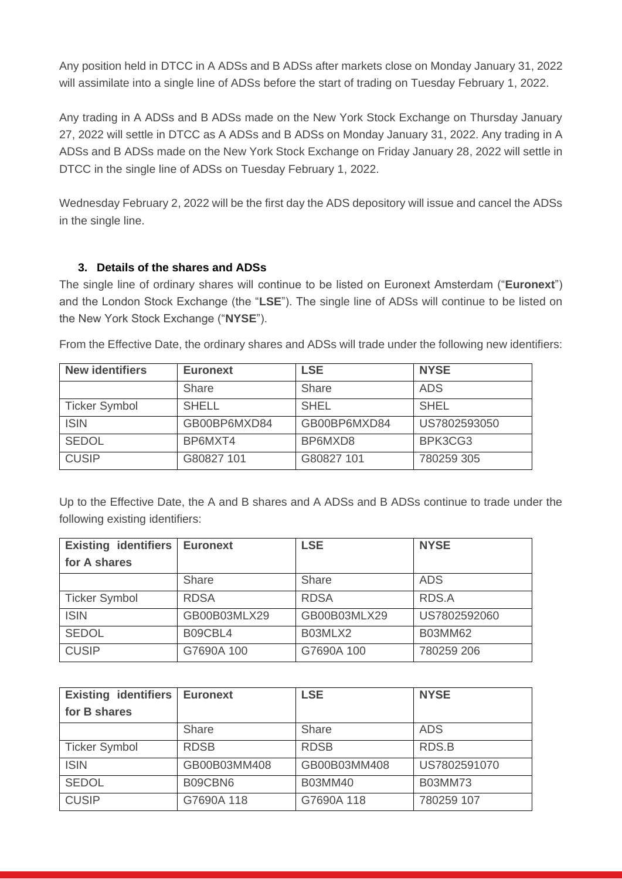Any position held in DTCC in A ADSs and B ADSs after markets close on Monday January 31, 2022 will assimilate into a single line of ADSs before the start of trading on Tuesday February 1, 2022.

Any trading in A ADSs and B ADSs made on the New York Stock Exchange on Thursday January 27, 2022 will settle in DTCC as A ADSs and B ADSs on Monday January 31, 2022. Any trading in A ADSs and B ADSs made on the New York Stock Exchange on Friday January 28, 2022 will settle in DTCC in the single line of ADSs on Tuesday February 1, 2022.

Wednesday February 2, 2022 will be the first day the ADS depository will issue and cancel the ADSs in the single line.

#### **3. Details of the shares and ADSs**

The single line of ordinary shares will continue to be listed on Euronext Amsterdam ("**Euronext**") and the London Stock Exchange (the "**LSE**"). The single line of ADSs will continue to be listed on the New York Stock Exchange ("**NYSE**").

From the Effective Date, the ordinary shares and ADSs will trade under the following new identifiers:

| <b>New identifiers</b> | <b>Euronext</b> | <b>LSE</b>   | <b>NYSE</b>  |
|------------------------|-----------------|--------------|--------------|
|                        | <b>Share</b>    | Share        | ADS          |
| <b>Ticker Symbol</b>   | <b>SHELL</b>    | <b>SHEL</b>  | <b>SHEL</b>  |
| <b>ISIN</b>            | GB00BP6MXD84    | GB00BP6MXD84 | US7802593050 |
| <b>SEDOL</b>           | BP6MXT4         | BP6MXD8      | BPK3CG3      |
| <b>CUSIP</b>           | G80827 101      | G80827 101   | 780259 305   |

Up to the Effective Date, the A and B shares and A ADSs and B ADSs continue to trade under the following existing identifiers:

| <b>Existing identifiers</b> | <b>Euronext</b> | <b>LSE</b>   | <b>NYSE</b>    |
|-----------------------------|-----------------|--------------|----------------|
| for A shares                |                 |              |                |
|                             | Share           | Share        | <b>ADS</b>     |
| <b>Ticker Symbol</b>        | <b>RDSA</b>     | <b>RDSA</b>  | RDS.A          |
| <b>ISIN</b>                 | GB00B03MLX29    | GB00B03MLX29 | US7802592060   |
| <b>SEDOL</b>                | B09CBL4         | B03MLX2      | <b>B03MM62</b> |
| <b>CUSIP</b>                | G7690A 100      | G7690A 100   | 780259 206     |

| <b>Existing identifiers</b> | <b>Euronext</b> | <b>LSE</b>     | <b>NYSE</b>    |
|-----------------------------|-----------------|----------------|----------------|
| for B shares                |                 |                |                |
|                             | Share           | Share          | <b>ADS</b>     |
| <b>Ticker Symbol</b>        | <b>RDSB</b>     | <b>RDSB</b>    | RDS.B          |
| <b>ISIN</b>                 | GB00B03MM408    | GB00B03MM408   | US7802591070   |
| <b>SEDOL</b>                | B09CBN6         | <b>B03MM40</b> | <b>B03MM73</b> |
| <b>CUSIP</b>                | G7690A 118      | G7690A 118     | 780259 107     |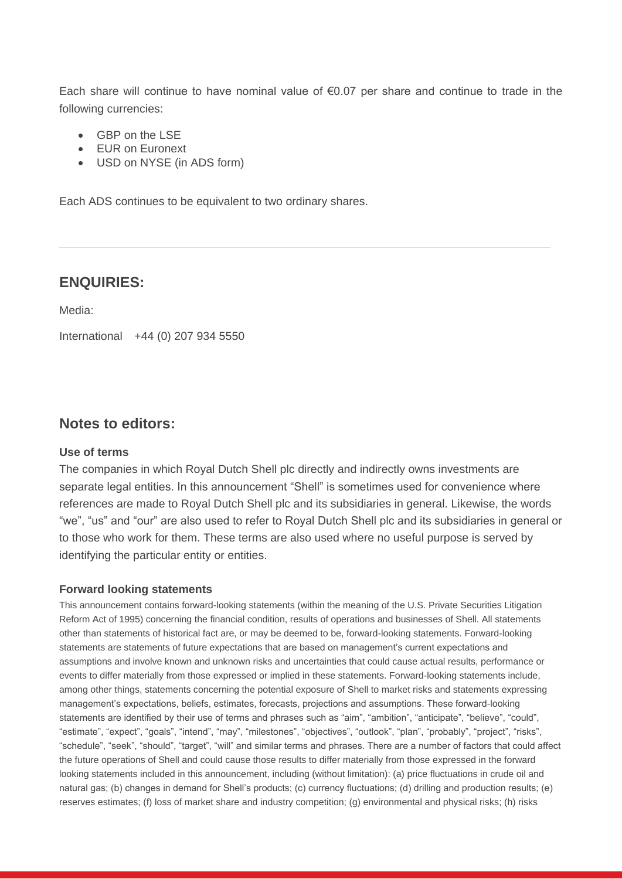Each share will continue to have nominal value of €0.07 per share and continue to trade in the following currencies:

- GBP on the LSE
- EUR on Euronext
- USD on NYSE (in ADS form)

Each ADS continues to be equivalent to two ordinary shares.

#### **ENQUIRIES:**

Media:

International +44 (0) 207 934 5550

#### **Notes to editors:**

#### **Use of terms**

The companies in which Royal Dutch Shell plc directly and indirectly owns investments are separate legal entities. In this announcement "Shell" is sometimes used for convenience where references are made to Royal Dutch Shell plc and its subsidiaries in general. Likewise, the words "we", "us" and "our" are also used to refer to Royal Dutch Shell plc and its subsidiaries in general or to those who work for them. These terms are also used where no useful purpose is served by identifying the particular entity or entities.

#### **Forward looking statements**

This announcement contains forward-looking statements (within the meaning of the U.S. Private Securities Litigation Reform Act of 1995) concerning the financial condition, results of operations and businesses of Shell. All statements other than statements of historical fact are, or may be deemed to be, forward-looking statements. Forward-looking statements are statements of future expectations that are based on management's current expectations and assumptions and involve known and unknown risks and uncertainties that could cause actual results, performance or events to differ materially from those expressed or implied in these statements. Forward-looking statements include, among other things, statements concerning the potential exposure of Shell to market risks and statements expressing management's expectations, beliefs, estimates, forecasts, projections and assumptions. These forward-looking statements are identified by their use of terms and phrases such as "aim", "ambition", "anticipate", "believe", "could", "estimate", "expect", "goals", "intend", "may", "milestones", "objectives", "outlook", "plan", "probably", "project", "risks", "schedule", "seek", "should", "target", "will" and similar terms and phrases. There are a number of factors that could affect the future operations of Shell and could cause those results to differ materially from those expressed in the forward looking statements included in this announcement, including (without limitation): (a) price fluctuations in crude oil and natural gas; (b) changes in demand for Shell's products; (c) currency fluctuations; (d) drilling and production results; (e) reserves estimates; (f) loss of market share and industry competition; (g) environmental and physical risks; (h) risks